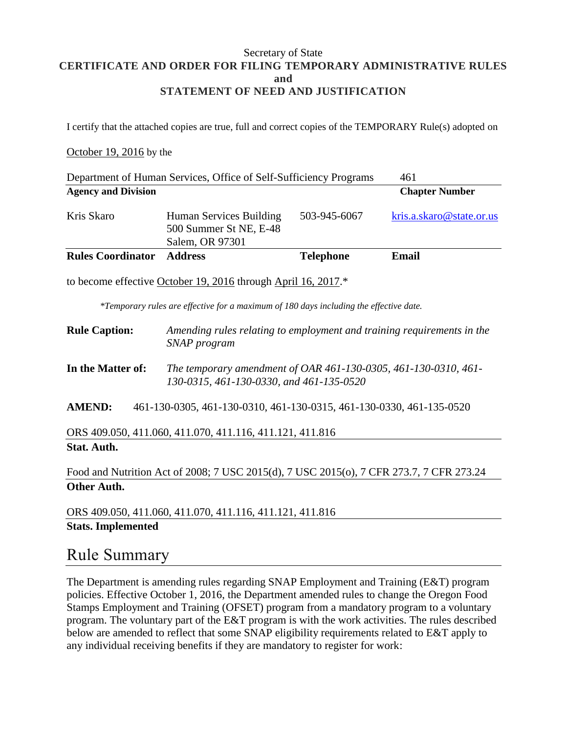#### Secretary of State **CERTIFICATE AND ORDER FOR FILING TEMPORARY ADMINISTRATIVE RULES and STATEMENT OF NEED AND JUSTIFICATION**

I certify that the attached copies are true, full and correct copies of the TEMPORARY Rule(s) adopted on

#### October 19, 2016 by the

| Department of Human Services, Office of Self-Sufficiency Programs<br>461                                                                                |                                                                                                             |                  |                          |
|---------------------------------------------------------------------------------------------------------------------------------------------------------|-------------------------------------------------------------------------------------------------------------|------------------|--------------------------|
| <b>Agency and Division</b>                                                                                                                              |                                                                                                             |                  | <b>Chapter Number</b>    |
| Kris Skaro                                                                                                                                              | Human Services Building<br>500 Summer St NE, E-48<br>Salem, OR 97301                                        | 503-945-6067     | kris.a.skaro@state.or.us |
| <b>Rules Coordinator</b>                                                                                                                                | <b>Address</b>                                                                                              | <b>Telephone</b> | <b>Email</b>             |
| to become effective October 19, 2016 through April 16, 2017.*<br>*Temporary rules are effective for a maximum of 180 days including the effective date. |                                                                                                             |                  |                          |
| <b>Rule Caption:</b>                                                                                                                                    | Amending rules relating to employment and training requirements in the<br>SNAP program                      |                  |                          |
| In the Matter of:                                                                                                                                       | The temporary amendment of OAR 461-130-0305, 461-130-0310, 461-<br>130-0315, 461-130-0330, and 461-135-0520 |                  |                          |
| <b>AMEND:</b><br>461-130-0305, 461-130-0310, 461-130-0315, 461-130-0330, 461-135-0520                                                                   |                                                                                                             |                  |                          |
| ORS 409.050, 411.060, 411.070, 411.116, 411.121, 411.816                                                                                                |                                                                                                             |                  |                          |
| <b>Stat. Auth.</b>                                                                                                                                      |                                                                                                             |                  |                          |
| Food and Nutrition Act of 2008; 7 USC 2015(d), 7 USC 2015(o), 7 CFR 273.7, 7 CFR 273.24                                                                 |                                                                                                             |                  |                          |
| <b>Other Auth.</b>                                                                                                                                      |                                                                                                             |                  |                          |

ORS 409.050, 411.060, 411.070, 411.116, 411.121, 411.816 **Stats. Implemented**

### Rule Summary

The Department is amending rules regarding SNAP Employment and Training (E&T) program policies. Effective October 1, 2016, the Department amended rules to change the Oregon Food Stamps Employment and Training (OFSET) program from a mandatory program to a voluntary program. The voluntary part of the E&T program is with the work activities. The rules described below are amended to reflect that some SNAP eligibility requirements related to E&T apply to any individual receiving benefits if they are mandatory to register for work: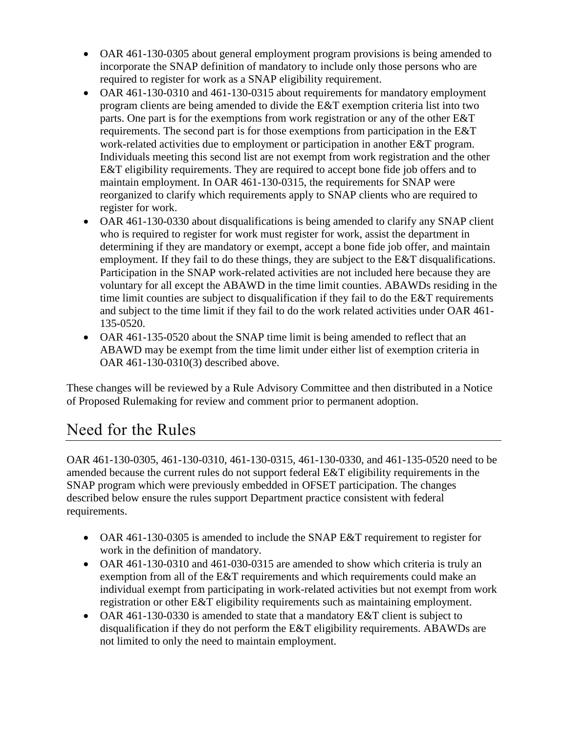- OAR 461-130-0305 about general employment program provisions is being amended to incorporate the SNAP definition of mandatory to include only those persons who are required to register for work as a SNAP eligibility requirement.
- OAR 461-130-0310 and 461-130-0315 about requirements for mandatory employment program clients are being amended to divide the E&T exemption criteria list into two parts. One part is for the exemptions from work registration or any of the other E&T requirements. The second part is for those exemptions from participation in the E&T work-related activities due to employment or participation in another E&T program. Individuals meeting this second list are not exempt from work registration and the other E&T eligibility requirements. They are required to accept bone fide job offers and to maintain employment. In OAR 461-130-0315, the requirements for SNAP were reorganized to clarify which requirements apply to SNAP clients who are required to register for work.
- OAR 461-130-0330 about disqualifications is being amended to clarify any SNAP client who is required to register for work must register for work, assist the department in determining if they are mandatory or exempt, accept a bone fide job offer, and maintain employment. If they fail to do these things, they are subject to the E&T disqualifications. Participation in the SNAP work-related activities are not included here because they are voluntary for all except the ABAWD in the time limit counties. ABAWDs residing in the time limit counties are subject to disqualification if they fail to do the E&T requirements and subject to the time limit if they fail to do the work related activities under OAR 461- 135-0520.
- OAR 461-135-0520 about the SNAP time limit is being amended to reflect that an ABAWD may be exempt from the time limit under either list of exemption criteria in OAR 461-130-0310(3) described above.

These changes will be reviewed by a Rule Advisory Committee and then distributed in a Notice of Proposed Rulemaking for review and comment prior to permanent adoption.

## Need for the Rules

OAR 461-130-0305, 461-130-0310, 461-130-0315, 461-130-0330, and 461-135-0520 need to be amended because the current rules do not support federal E&T eligibility requirements in the SNAP program which were previously embedded in OFSET participation. The changes described below ensure the rules support Department practice consistent with federal requirements.

- OAR 461-130-0305 is amended to include the SNAP E&T requirement to register for work in the definition of mandatory.
- OAR 461-130-0310 and 461-030-0315 are amended to show which criteria is truly an exemption from all of the E&T requirements and which requirements could make an individual exempt from participating in work-related activities but not exempt from work registration or other E&T eligibility requirements such as maintaining employment.
- OAR 461-130-0330 is amended to state that a mandatory E&T client is subject to disqualification if they do not perform the E&T eligibility requirements. ABAWDs are not limited to only the need to maintain employment.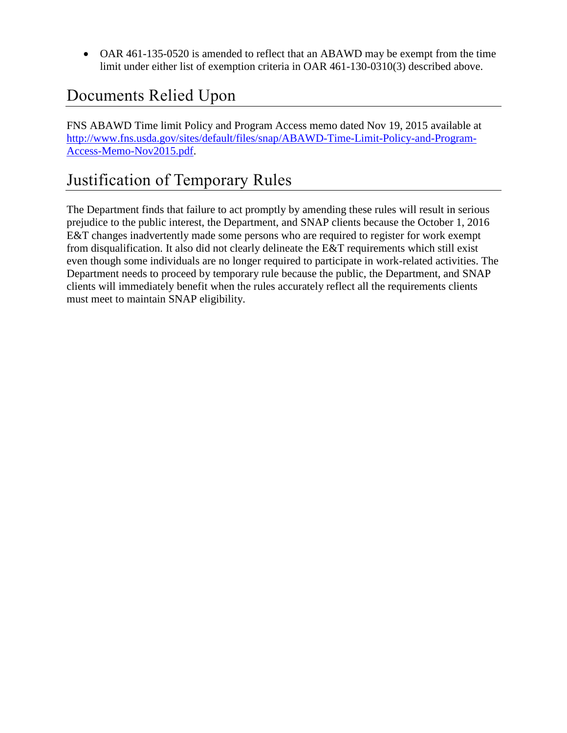OAR 461-135-0520 is amended to reflect that an ABAWD may be exempt from the time limit under either list of exemption criteria in OAR 461-130-0310(3) described above.

# Documents Relied Upon

FNS ABAWD Time limit Policy and Program Access memo dated Nov 19, 2015 available at [http://www.fns.usda.gov/sites/default/files/snap/ABAWD-Time-Limit-Policy-and-Program-](http://www.fns.usda.gov/sites/default/files/snap/ABAWD-Time-Limit-Policy-and-Program-Access-Memo-Nov2015.pdf)[Access-Memo-Nov2015.pdf.](http://www.fns.usda.gov/sites/default/files/snap/ABAWD-Time-Limit-Policy-and-Program-Access-Memo-Nov2015.pdf)

## Justification of Temporary Rules

The Department finds that failure to act promptly by amending these rules will result in serious prejudice to the public interest, the Department, and SNAP clients because the October 1, 2016 E&T changes inadvertently made some persons who are required to register for work exempt from disqualification. It also did not clearly delineate the E&T requirements which still exist even though some individuals are no longer required to participate in work-related activities. The Department needs to proceed by temporary rule because the public, the Department, and SNAP clients will immediately benefit when the rules accurately reflect all the requirements clients must meet to maintain SNAP eligibility.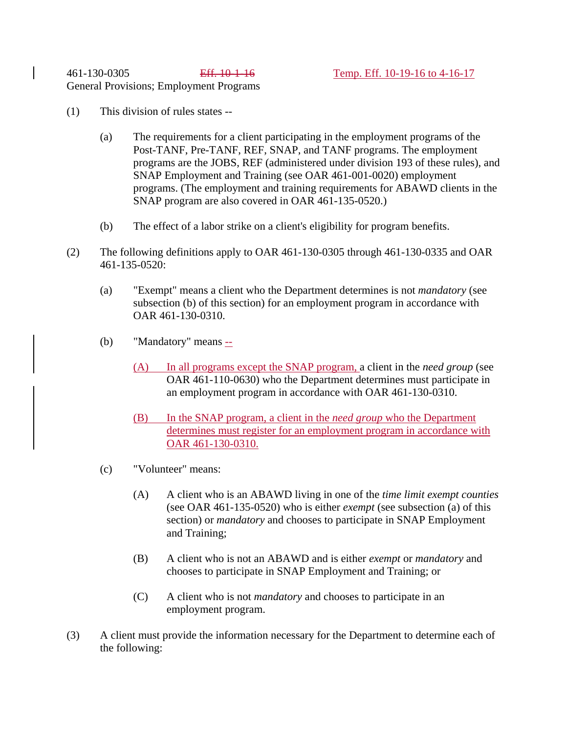- (1) This division of rules states --
	- (a) The requirements for a client participating in the employment programs of the Post-TANF, Pre-TANF, REF, SNAP, and TANF programs. The employment programs are the JOBS, REF (administered under division 193 of these rules), and SNAP Employment and Training (see OAR 461-001-0020) employment programs. (The employment and training requirements for ABAWD clients in the SNAP program are also covered in OAR 461-135-0520.)
	- (b) The effect of a labor strike on a client's eligibility for program benefits.
- (2) The following definitions apply to OAR 461-130-0305 through 461-130-0335 and OAR 461-135-0520:
	- (a) "Exempt" means a client who the Department determines is not *mandatory* (see subsection (b) of this section) for an employment program in accordance with OAR 461-130-0310.
	- (b) "Mandatory" means --
		- (A) In all programs except the SNAP program, a client in the *need group* (see OAR 461-110-0630) who the Department determines must participate in an employment program in accordance with OAR 461-130-0310.
		- (B) In the SNAP program, a client in the *need group* who the Department determines must register for an employment program in accordance with OAR 461-130-0310.
	- (c) "Volunteer" means:
		- (A) A client who is an ABAWD living in one of the *time limit exempt counties* (see OAR 461-135-0520) who is either *exempt* (see subsection (a) of this section) or *mandatory* and chooses to participate in SNAP Employment and Training;
		- (B) A client who is not an ABAWD and is either *exempt* or *mandatory* and chooses to participate in SNAP Employment and Training; or
		- (C) A client who is not *mandatory* and chooses to participate in an employment program.
- (3) A client must provide the information necessary for the Department to determine each of the following: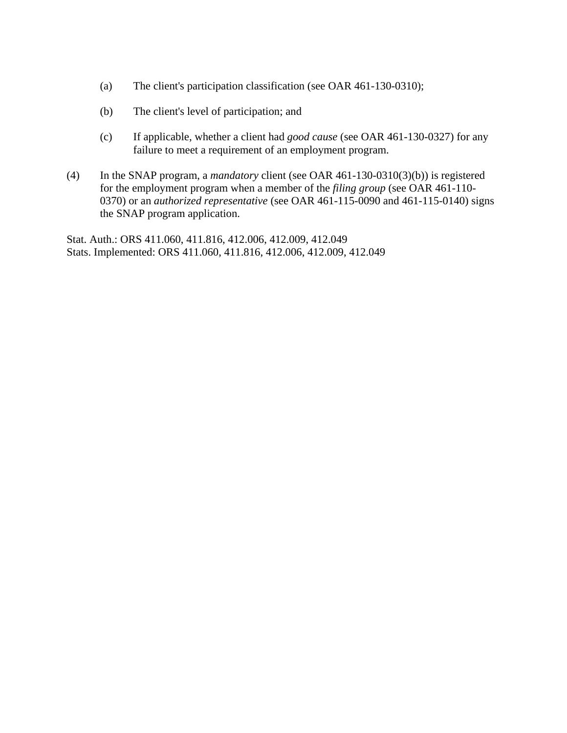- (a) The client's participation classification (see OAR 461-130-0310);
- (b) The client's level of participation; and
- (c) If applicable, whether a client had *good cause* (see OAR 461-130-0327) for any failure to meet a requirement of an employment program.
- (4) In the SNAP program, a *mandatory* client (see OAR 461-130-0310(3)(b)) is registered for the employment program when a member of the *filing group* (see OAR 461-110- 0370) or an *authorized representative* (see OAR 461-115-0090 and 461-115-0140) signs the SNAP program application.

Stat. Auth.: ORS 411.060, 411.816, 412.006, 412.009, 412.049 Stats. Implemented: ORS 411.060, 411.816, 412.006, 412.009, 412.049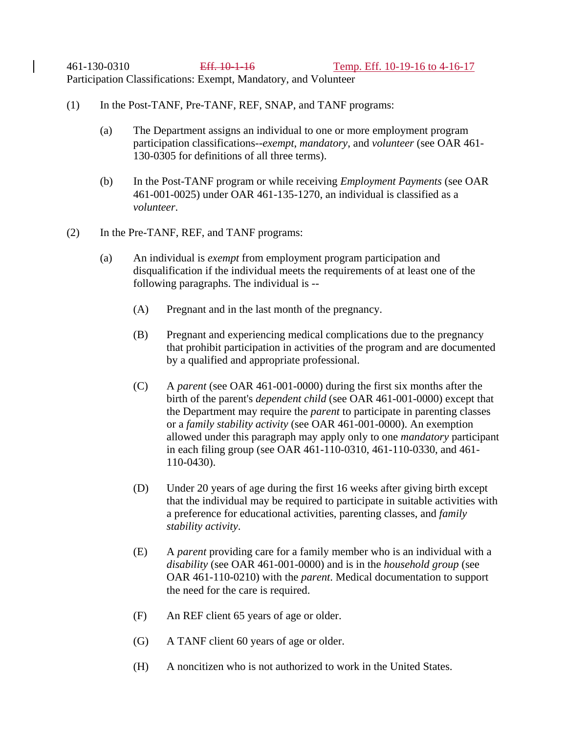461-130-0310 Eff. 10-1-16 Temp. Eff. 10-19-16 to 4-16-17 Participation Classifications: Exempt, Mandatory, and Volunteer

- (1) In the Post-TANF, Pre-TANF, REF, SNAP, and TANF programs:
	- (a) The Department assigns an individual to one or more employment program participation classifications--*exempt*, *mandatory*, and *volunteer* (see OAR 461- 130-0305 for definitions of all three terms).
	- (b) In the Post-TANF program or while receiving *Employment Payments* (see OAR 461-001-0025) under OAR 461-135-1270, an individual is classified as a *volunteer*.
- (2) In the Pre-TANF, REF, and TANF programs:
	- (a) An individual is *exempt* from employment program participation and disqualification if the individual meets the requirements of at least one of the following paragraphs. The individual is --
		- (A) Pregnant and in the last month of the pregnancy.
		- (B) Pregnant and experiencing medical complications due to the pregnancy that prohibit participation in activities of the program and are documented by a qualified and appropriate professional.
		- (C) A *parent* (see OAR 461-001-0000) during the first six months after the birth of the parent's *dependent child* (see OAR 461-001-0000) except that the Department may require the *parent* to participate in parenting classes or a *family stability activity* (see OAR 461-001-0000). An exemption allowed under this paragraph may apply only to one *mandatory* participant in each filing group (see OAR 461-110-0310, 461-110-0330, and 461- 110-0430).
		- (D) Under 20 years of age during the first 16 weeks after giving birth except that the individual may be required to participate in suitable activities with a preference for educational activities, parenting classes, and *family stability activity*.
		- (E) A *parent* providing care for a family member who is an individual with a *disability* (see OAR 461-001-0000) and is in the *household group* (see OAR 461-110-0210) with the *parent*. Medical documentation to support the need for the care is required.
		- (F) An REF client 65 years of age or older.
		- (G) A TANF client 60 years of age or older.
		- (H) A noncitizen who is not authorized to work in the United States.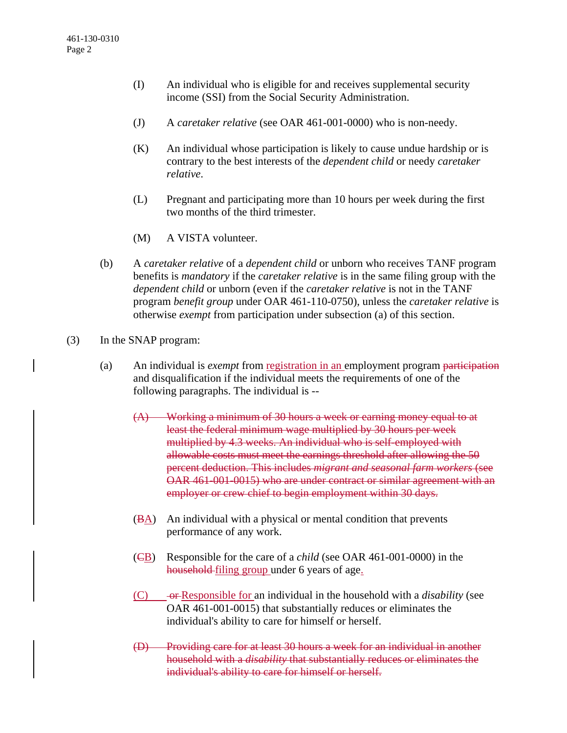- (I) An individual who is eligible for and receives supplemental security income (SSI) from the Social Security Administration.
- (J) A *caretaker relative* (see OAR 461-001-0000) who is non-needy.
- (K) An individual whose participation is likely to cause undue hardship or is contrary to the best interests of the *dependent child* or needy *caretaker relative*.
- (L) Pregnant and participating more than 10 hours per week during the first two months of the third trimester.
- (M) A VISTA volunteer.
- (b) A *caretaker relative* of a *dependent child* or unborn who receives TANF program benefits is *mandatory* if the *caretaker relative* is in the same filing group with the *dependent child* or unborn (even if the *caretaker relative* is not in the TANF program *benefit group* under OAR 461-110-0750), unless the *caretaker relative* is otherwise *exempt* from participation under subsection (a) of this section.
- (3) In the SNAP program:
	- (a) An individual is *exempt* from registration in an employment program participation and disqualification if the individual meets the requirements of one of the following paragraphs. The individual is --
		- (A) Working a minimum of 30 hours a week or earning money equal to at least the federal minimum wage multiplied by 30 hours per week multiplied by 4.3 weeks. An individual who is self-employed with allowable costs must meet the earnings threshold after allowing the 50 percent deduction. This includes *migrant and seasonal farm workers* (see OAR 461-001-0015) who are under contract or similar agreement with an employer or crew chief to begin employment within 30 days.
		- $(\overline{BA})$  An individual with a physical or mental condition that prevents performance of any work.
		- (CB) Responsible for the care of a *child* (see OAR 461-001-0000) in the household filing group under 6 years of age.
		- (C) or Responsible for an individual in the household with a *disability* (see OAR 461-001-0015) that substantially reduces or eliminates the individual's ability to care for himself or herself.
		- (D) Providing care for at least 30 hours a week for an individual in another household with a *disability* that substantially reduces or eliminates the individual's ability to care for himself or herself.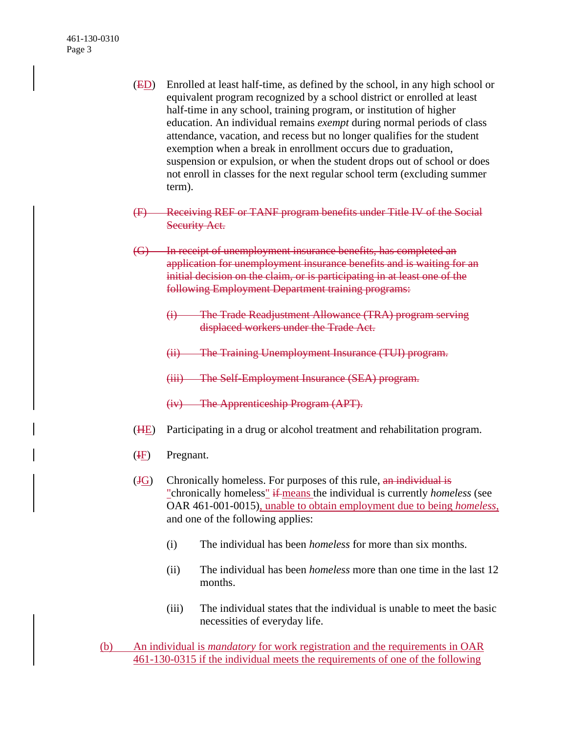- (ED) Enrolled at least half-time, as defined by the school, in any high school or equivalent program recognized by a school district or enrolled at least half-time in any school, training program, or institution of higher education. An individual remains *exempt* during normal periods of class attendance, vacation, and recess but no longer qualifies for the student exemption when a break in enrollment occurs due to graduation, suspension or expulsion, or when the student drops out of school or does not enroll in classes for the next regular school term (excluding summer term).
- (F) Receiving REF or TANF program benefits under Title IV of the Social **Security Act.**
- (G) In receipt of unemployment insurance benefits, has completed an application for unemployment insurance benefits and is waiting for an initial decision on the claim, or is participating in at least one of the following Employment Department training programs:
	- (i) The Trade Readjustment Allowance (TRA) program serving displaced workers under the Trade Act.
	- (ii) The Training Unemployment Insurance (TUI) program.
	- (iii) The Self-Employment Insurance (SEA) program.
	- (iv) The Apprenticeship Program (APT).
- (HE) Participating in a drug or alcohol treatment and rehabilitation program.
- $(E)$  Pregnant.
- $(HG)$  Chronically homeless. For purposes of this rule, an individual is "chronically homeless" if means the individual is currently *homeless* (see OAR 461-001-0015), unable to obtain employment due to being *homeless*, and one of the following applies:
	- (i) The individual has been *homeless* for more than six months.
	- (ii) The individual has been *homeless* more than one time in the last 12 months.
	- (iii) The individual states that the individual is unable to meet the basic necessities of everyday life.
- (b) An individual is *mandatory* for work registration and the requirements in OAR 461-130-0315 if the individual meets the requirements of one of the following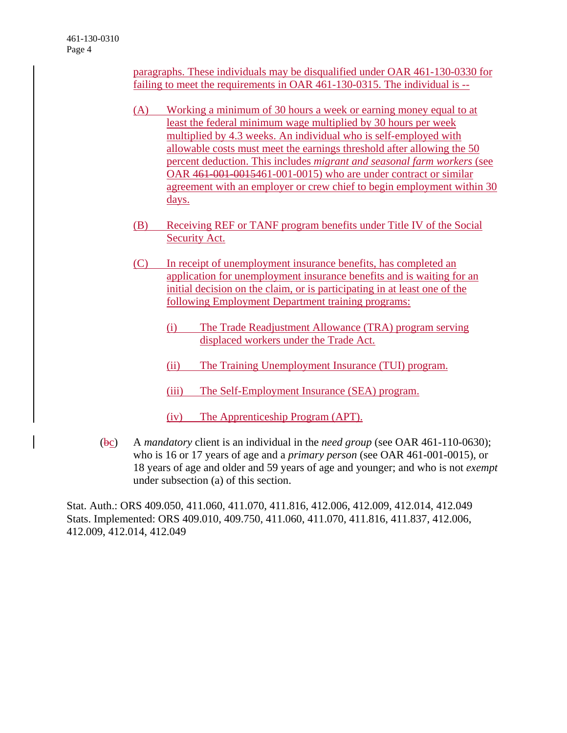paragraphs. These individuals may be disqualified under OAR 461-130-0330 for failing to meet the requirements in OAR 461-130-0315. The individual is --

- (A) Working a minimum of 30 hours a week or earning money equal to at least the federal minimum wage multiplied by 30 hours per week multiplied by 4.3 weeks. An individual who is self-employed with allowable costs must meet the earnings threshold after allowing the 50 percent deduction. This includes *migrant and seasonal farm workers* (see OAR 461-001-0015461-001-0015) who are under contract or similar agreement with an employer or crew chief to begin employment within 30 days.
- (B) Receiving REF or TANF program benefits under Title IV of the Social Security Act.
- (C) In receipt of unemployment insurance benefits, has completed an application for unemployment insurance benefits and is waiting for an initial decision on the claim, or is participating in at least one of the following Employment Department training programs:
	- (i) The Trade Readjustment Allowance (TRA) program serving displaced workers under the Trade Act.
	- (ii) The Training Unemployment Insurance (TUI) program.
	- (iii) The Self-Employment Insurance (SEA) program.
	- (iv) The Apprenticeship Program (APT).
- (bc) A *mandatory* client is an individual in the *need group* (see OAR 461-110-0630); who is 16 or 17 years of age and a *primary person* (see OAR 461-001-0015), or 18 years of age and older and 59 years of age and younger; and who is not *exempt* under subsection (a) of this section.

Stat. Auth.: ORS 409.050, 411.060, 411.070, 411.816, 412.006, 412.009, 412.014, 412.049 Stats. Implemented: ORS 409.010, 409.750, 411.060, 411.070, 411.816, 411.837, 412.006, 412.009, 412.014, 412.049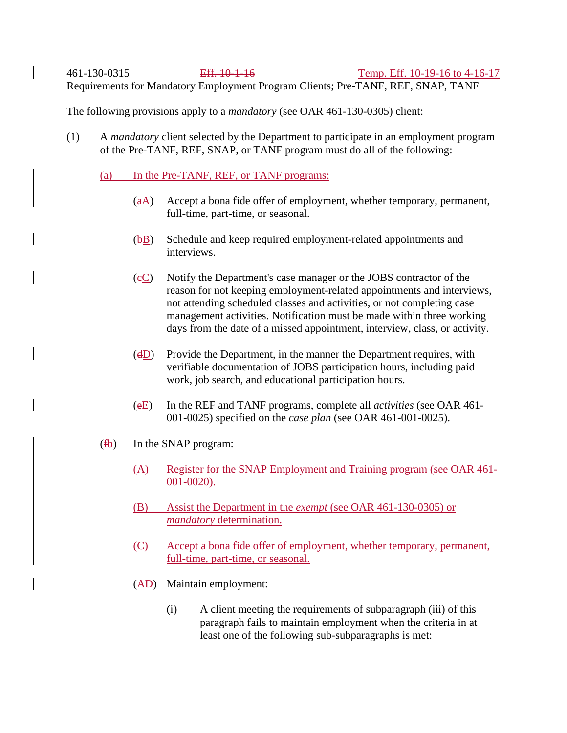461-130-0315 Eff. 10-1-16 Temp. Eff. 10-19-16 to 4-16-17 Requirements for Mandatory Employment Program Clients; Pre-TANF, REF, SNAP, TANF

The following provisions apply to a *mandatory* (see OAR 461-130-0305) client:

(1) A *mandatory* client selected by the Department to participate in an employment program of the Pre-TANF, REF, SNAP, or TANF program must do all of the following:

### (a) In the Pre-TANF, REF, or TANF programs:

- $(aA)$  Accept a bona fide offer of employment, whether temporary, permanent, full-time, part-time, or seasonal.
- $(\overline{bB})$  Schedule and keep required employment-related appointments and interviews.
- (cC) Notify the Department's case manager or the JOBS contractor of the reason for not keeping employment-related appointments and interviews, not attending scheduled classes and activities, or not completing case management activities. Notification must be made within three working days from the date of a missed appointment, interview, class, or activity.
- $(dD)$  Provide the Department, in the manner the Department requires, with verifiable documentation of JOBS participation hours, including paid work, job search, and educational participation hours.
- (eE) In the REF and TANF programs, complete all *activities* (see OAR 461- 001-0025) specified on the *case plan* (see OAR 461-001-0025).
- (fb) In the SNAP program:
	- (A) Register for the SNAP Employment and Training program (see OAR 461- 001-0020).
	- (B) Assist the Department in the *exempt* (see OAR 461-130-0305) or *mandatory* determination.
	- (C) Accept a bona fide offer of employment, whether temporary, permanent, full-time, part-time, or seasonal.
	- (AD) Maintain employment:
		- (i) A client meeting the requirements of subparagraph (iii) of this paragraph fails to maintain employment when the criteria in at least one of the following sub-subparagraphs is met: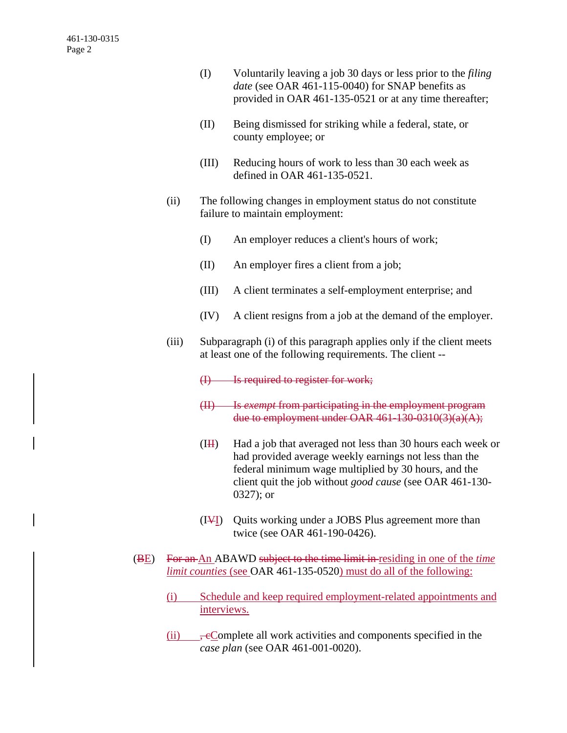- (I) Voluntarily leaving a job 30 days or less prior to the *filing date* (see OAR 461-115-0040) for SNAP benefits as provided in OAR 461-135-0521 or at any time thereafter;
- (II) Being dismissed for striking while a federal, state, or county employee; or
- (III) Reducing hours of work to less than 30 each week as defined in OAR 461-135-0521.
- (ii) The following changes in employment status do not constitute failure to maintain employment:
	- (I) An employer reduces a client's hours of work;
	- (II) An employer fires a client from a job;
	- (III) A client terminates a self-employment enterprise; and
	- (IV) A client resigns from a job at the demand of the employer.
- (iii) Subparagraph (i) of this paragraph applies only if the client meets at least one of the following requirements. The client --
	- (I) Is required to register for work;
	- (II) Is *exempt* from participating in the employment program due to employment under OAR 461-130-0310(3)(a)(A);
	- $(H<sup>H</sup>)$  Had a job that averaged not less than 30 hours each week or had provided average weekly earnings not less than the federal minimum wage multiplied by 30 hours, and the client quit the job without *good cause* (see OAR 461-130- 0327); or
	- (IVI) Quits working under a JOBS Plus agreement more than twice (see OAR 461-190-0426).
- (BE) For an An ABAWD subject to the time limit in residing in one of the *time limit counties* (see OAR 461-135-0520) must do all of the following:
	- (i) Schedule and keep required employment-related appointments and interviews.
	- (ii)  $\rightarrow \div$  = Complete all work activities and components specified in the *case plan* (see OAR 461-001-0020).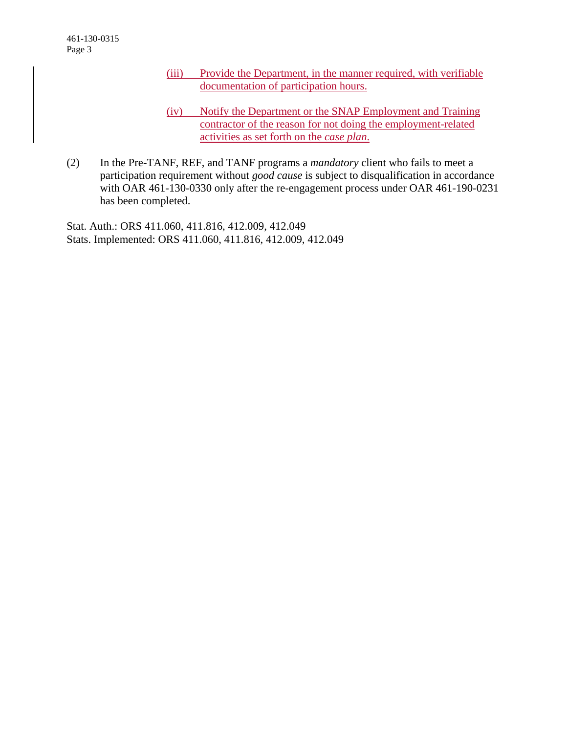- (iii) Provide the Department, in the manner required, with verifiable documentation of participation hours.
- (iv) Notify the Department or the SNAP Employment and Training contractor of the reason for not doing the employment-related activities as set forth on the *case plan*.
- (2) In the Pre-TANF, REF, and TANF programs a *mandatory* client who fails to meet a participation requirement without *good cause* is subject to disqualification in accordance with OAR 461-130-0330 only after the re-engagement process under OAR 461-190-0231 has been completed.

Stat. Auth.: ORS 411.060, 411.816, 412.009, 412.049 Stats. Implemented: ORS 411.060, 411.816, 412.009, 412.049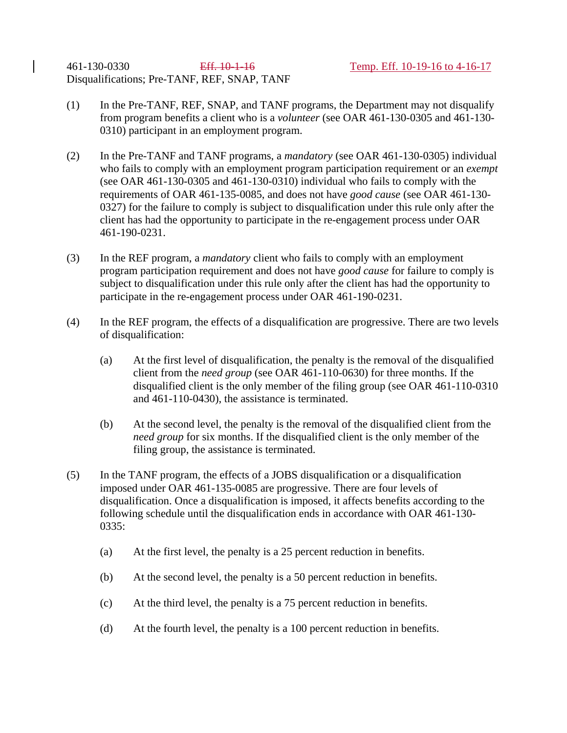- (1) In the Pre-TANF, REF, SNAP, and TANF programs, the Department may not disqualify from program benefits a client who is a *volunteer* (see OAR 461-130-0305 and 461-130- 0310) participant in an employment program.
- (2) In the Pre-TANF and TANF programs, a *mandatory* (see OAR 461-130-0305) individual who fails to comply with an employment program participation requirement or an *exempt* (see OAR 461-130-0305 and 461-130-0310) individual who fails to comply with the requirements of OAR 461-135-0085, and does not have *good cause* (see OAR 461-130- 0327) for the failure to comply is subject to disqualification under this rule only after the client has had the opportunity to participate in the re-engagement process under OAR 461-190-0231.
- (3) In the REF program, a *mandatory* client who fails to comply with an employment program participation requirement and does not have *good cause* for failure to comply is subject to disqualification under this rule only after the client has had the opportunity to participate in the re-engagement process under OAR 461-190-0231.
- (4) In the REF program, the effects of a disqualification are progressive. There are two levels of disqualification:
	- (a) At the first level of disqualification, the penalty is the removal of the disqualified client from the *need group* (see OAR 461-110-0630) for three months. If the disqualified client is the only member of the filing group (see OAR 461-110-0310 and 461-110-0430), the assistance is terminated.
	- (b) At the second level, the penalty is the removal of the disqualified client from the *need group* for six months. If the disqualified client is the only member of the filing group, the assistance is terminated.
- (5) In the TANF program, the effects of a JOBS disqualification or a disqualification imposed under OAR 461-135-0085 are progressive. There are four levels of disqualification. Once a disqualification is imposed, it affects benefits according to the following schedule until the disqualification ends in accordance with OAR 461-130- 0335:
	- (a) At the first level, the penalty is a 25 percent reduction in benefits.
	- (b) At the second level, the penalty is a 50 percent reduction in benefits.
	- (c) At the third level, the penalty is a 75 percent reduction in benefits.
	- (d) At the fourth level, the penalty is a 100 percent reduction in benefits.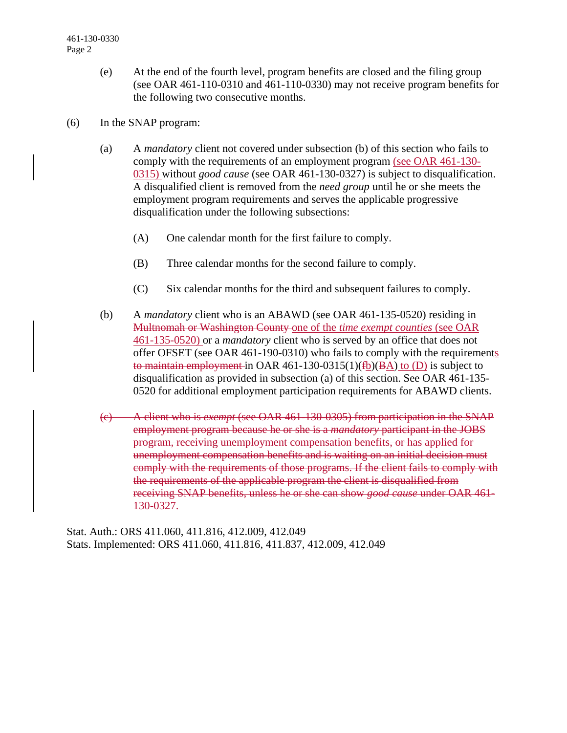- (e) At the end of the fourth level, program benefits are closed and the filing group (see OAR 461-110-0310 and 461-110-0330) may not receive program benefits for the following two consecutive months.
- (6) In the SNAP program:
	- (a) A *mandatory* client not covered under subsection (b) of this section who fails to comply with the requirements of an employment program (see OAR 461-130- 0315) without *good cause* (see OAR 461-130-0327) is subject to disqualification. A disqualified client is removed from the *need group* until he or she meets the employment program requirements and serves the applicable progressive disqualification under the following subsections:
		- (A) One calendar month for the first failure to comply.
		- (B) Three calendar months for the second failure to comply.
		- (C) Six calendar months for the third and subsequent failures to comply.
	- (b) A *mandatory* client who is an ABAWD (see OAR 461-135-0520) residing in Multnomah or Washington County one of the *time exempt counties* (see OAR 461-135-0520) or a *mandatory* client who is served by an office that does not offer OFSET (see OAR 461-190-0310) who fails to comply with the requirements to maintain employment in OAR 461-130-0315(1)( $f_0(B_A)$  to (D) is subject to disqualification as provided in subsection (a) of this section. See OAR 461-135- 0520 for additional employment participation requirements for ABAWD clients.
	- (c) A client who is *exempt* (see OAR 461-130-0305) from participation in the SNAP employment program because he or she is a *mandatory* participant in the JOBS program, receiving unemployment compensation benefits, or has applied for unemployment compensation benefits and is waiting on an initial decision must comply with the requirements of those programs. If the client fails to comply with the requirements of the applicable program the client is disqualified from receiving SNAP benefits, unless he or she can show *good cause* under OAR 461- 130-0327.

Stat. Auth.: ORS 411.060, 411.816, 412.009, 412.049 Stats. Implemented: ORS 411.060, 411.816, 411.837, 412.009, 412.049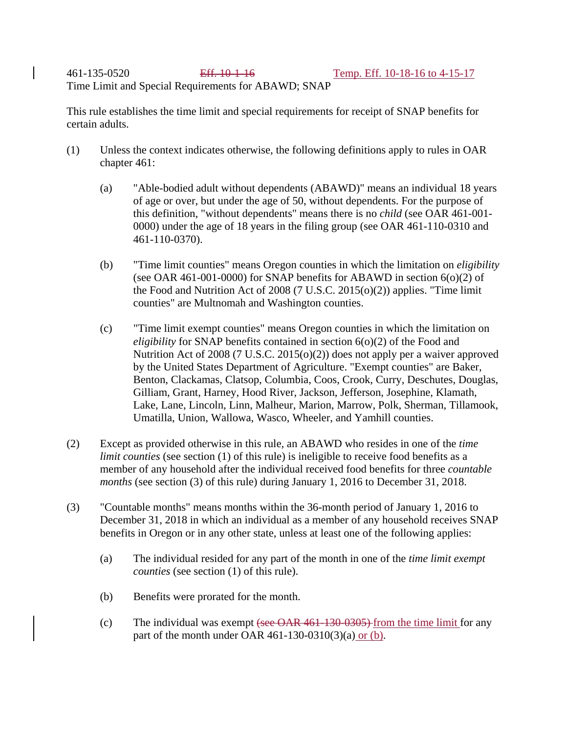461-135-0520 Eff. 10-1-16 Temp. Eff. 10-18-16 to 4-15-17 Time Limit and Special Requirements for ABAWD; SNAP

This rule establishes the time limit and special requirements for receipt of SNAP benefits for certain adults.

- (1) Unless the context indicates otherwise, the following definitions apply to rules in OAR chapter 461:
	- (a) "Able-bodied adult without dependents (ABAWD)" means an individual 18 years of age or over, but under the age of 50, without dependents. For the purpose of this definition, "without dependents" means there is no *child* (see OAR 461-001- 0000) under the age of 18 years in the filing group (see OAR 461-110-0310 and 461-110-0370).
	- (b) "Time limit counties" means Oregon counties in which the limitation on *eligibility* (see OAR 461-001-0000) for SNAP benefits for ABAWD in section  $6(0)(2)$  of the Food and Nutrition Act of 2008 (7 U.S.C. 2015(o)(2)) applies. "Time limit counties" are Multnomah and Washington counties.
	- (c) "Time limit exempt counties" means Oregon counties in which the limitation on *eligibility* for SNAP benefits contained in section 6(0)(2) of the Food and Nutrition Act of 2008 (7 U.S.C. 2015(o)(2)) does not apply per a waiver approved by the United States Department of Agriculture. "Exempt counties" are Baker, Benton, Clackamas, Clatsop, Columbia, Coos, Crook, Curry, Deschutes, Douglas, Gilliam, Grant, Harney, Hood River, Jackson, Jefferson, Josephine, Klamath, Lake, Lane, Lincoln, Linn, Malheur, Marion, Marrow, Polk, Sherman, Tillamook, Umatilla, Union, Wallowa, Wasco, Wheeler, and Yamhill counties.
- (2) Except as provided otherwise in this rule, an ABAWD who resides in one of the *time limit counties* (see section (1) of this rule) is ineligible to receive food benefits as a member of any household after the individual received food benefits for three *countable months* (see section (3) of this rule) during January 1, 2016 to December 31, 2018.
- (3) "Countable months" means months within the 36-month period of January 1, 2016 to December 31, 2018 in which an individual as a member of any household receives SNAP benefits in Oregon or in any other state, unless at least one of the following applies:
	- (a) The individual resided for any part of the month in one of the *time limit exempt counties* (see section (1) of this rule).
	- (b) Benefits were prorated for the month.
	- (c) The individual was exempt (see  $\overline{OAR}$  461-130-0305) from the time limit for any part of the month under OAR  $461-130-0310(3)(a)$  or (b).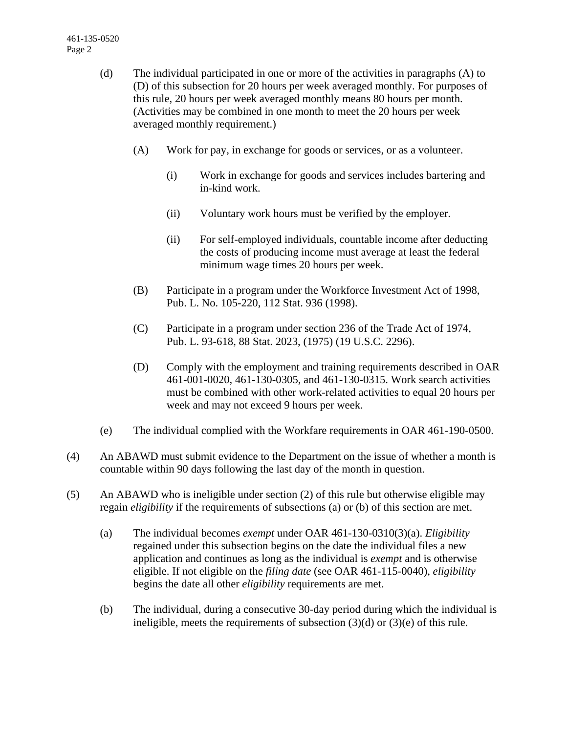- (d) The individual participated in one or more of the activities in paragraphs (A) to (D) of this subsection for 20 hours per week averaged monthly. For purposes of this rule, 20 hours per week averaged monthly means 80 hours per month. (Activities may be combined in one month to meet the 20 hours per week averaged monthly requirement.)
	- (A) Work for pay, in exchange for goods or services, or as a volunteer.
		- (i) Work in exchange for goods and services includes bartering and in-kind work.
		- (ii) Voluntary work hours must be verified by the employer.
		- (ii) For self-employed individuals, countable income after deducting the costs of producing income must average at least the federal minimum wage times 20 hours per week.
	- (B) Participate in a program under the Workforce Investment Act of 1998, Pub. L. No. 105-220, 112 Stat. 936 (1998).
	- (C) Participate in a program under section 236 of the Trade Act of 1974, Pub. L. 93-618, 88 Stat. 2023, (1975) (19 U.S.C. 2296).
	- (D) Comply with the employment and training requirements described in OAR 461-001-0020, 461-130-0305, and 461-130-0315. Work search activities must be combined with other work-related activities to equal 20 hours per week and may not exceed 9 hours per week.
- (e) The individual complied with the Workfare requirements in OAR 461-190-0500.
- (4) An ABAWD must submit evidence to the Department on the issue of whether a month is countable within 90 days following the last day of the month in question.
- (5) An ABAWD who is ineligible under section (2) of this rule but otherwise eligible may regain *eligibility* if the requirements of subsections (a) or (b) of this section are met.
	- (a) The individual becomes *exempt* under OAR 461-130-0310(3)(a). *Eligibility* regained under this subsection begins on the date the individual files a new application and continues as long as the individual is *exempt* and is otherwise eligible. If not eligible on the *filing date* (see OAR 461-115-0040), *eligibility* begins the date all other *eligibility* requirements are met.
	- (b) The individual, during a consecutive 30-day period during which the individual is ineligible, meets the requirements of subsection (3)(d) or (3)(e) of this rule.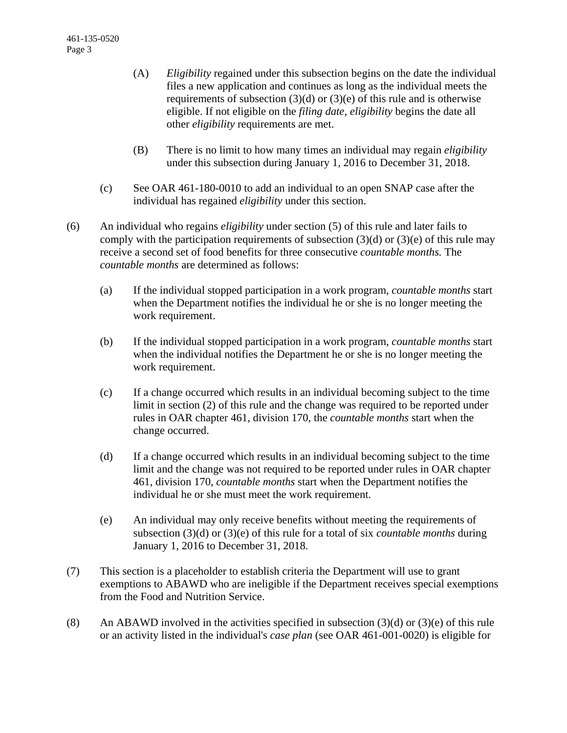- (A) *Eligibility* regained under this subsection begins on the date the individual files a new application and continues as long as the individual meets the requirements of subsection  $(3)(d)$  or  $(3)(e)$  of this rule and is otherwise eligible. If not eligible on the *filing date*, *eligibility* begins the date all other *eligibility* requirements are met.
- (B) There is no limit to how many times an individual may regain *eligibility* under this subsection during January 1, 2016 to December 31, 2018.
- (c) See OAR 461-180-0010 to add an individual to an open SNAP case after the individual has regained *eligibility* under this section.
- (6) An individual who regains *eligibility* under section (5) of this rule and later fails to comply with the participation requirements of subsection  $(3)(d)$  or  $(3)(e)$  of this rule may receive a second set of food benefits for three consecutive *countable months.* The *countable months* are determined as follows:
	- (a) If the individual stopped participation in a work program, *countable months* start when the Department notifies the individual he or she is no longer meeting the work requirement.
	- (b) If the individual stopped participation in a work program, *countable months* start when the individual notifies the Department he or she is no longer meeting the work requirement.
	- (c) If a change occurred which results in an individual becoming subject to the time limit in section (2) of this rule and the change was required to be reported under rules in OAR chapter 461, division 170, the *countable months* start when the change occurred.
	- (d) If a change occurred which results in an individual becoming subject to the time limit and the change was not required to be reported under rules in OAR chapter 461, division 170, *countable months* start when the Department notifies the individual he or she must meet the work requirement.
	- (e) An individual may only receive benefits without meeting the requirements of subsection (3)(d) or (3)(e) of this rule for a total of six *countable months* during January 1, 2016 to December 31, 2018.
- (7) This section is a placeholder to establish criteria the Department will use to grant exemptions to ABAWD who are ineligible if the Department receives special exemptions from the Food and Nutrition Service.
- (8) An ABAWD involved in the activities specified in subsection  $(3)(d)$  or  $(3)(e)$  of this rule or an activity listed in the individual's *case plan* (see OAR 461-001-0020) is eligible for